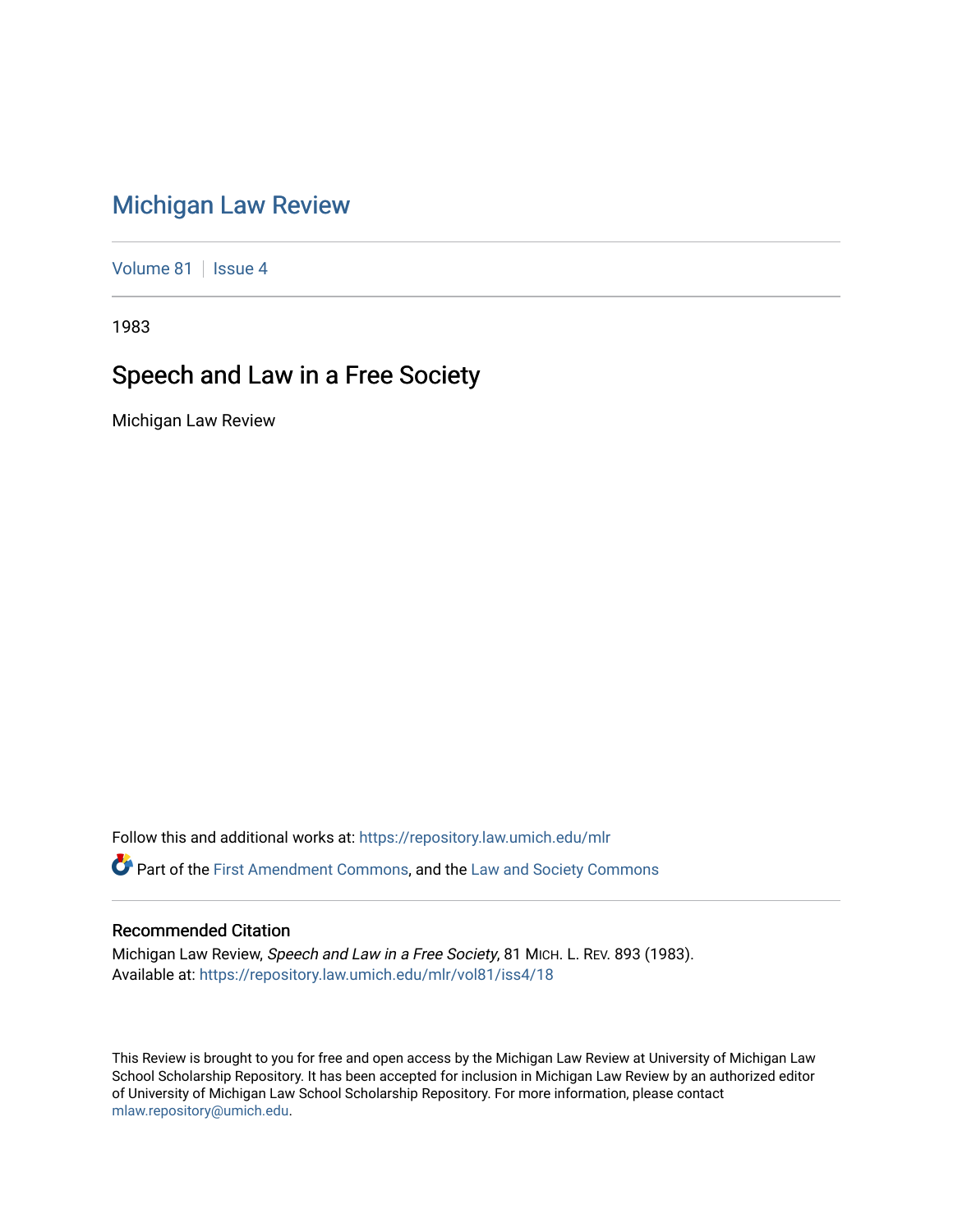## [Michigan Law Review](https://repository.law.umich.edu/mlr)

[Volume 81](https://repository.law.umich.edu/mlr/vol81) | [Issue 4](https://repository.law.umich.edu/mlr/vol81/iss4)

1983

## Speech and Law in a Free Society

Michigan Law Review

Follow this and additional works at: [https://repository.law.umich.edu/mlr](https://repository.law.umich.edu/mlr?utm_source=repository.law.umich.edu%2Fmlr%2Fvol81%2Fiss4%2F18&utm_medium=PDF&utm_campaign=PDFCoverPages) 

Part of the [First Amendment Commons,](http://network.bepress.com/hgg/discipline/1115?utm_source=repository.law.umich.edu%2Fmlr%2Fvol81%2Fiss4%2F18&utm_medium=PDF&utm_campaign=PDFCoverPages) and the [Law and Society Commons](http://network.bepress.com/hgg/discipline/853?utm_source=repository.law.umich.edu%2Fmlr%2Fvol81%2Fiss4%2F18&utm_medium=PDF&utm_campaign=PDFCoverPages) 

## Recommended Citation

Michigan Law Review, Speech and Law in a Free Society, 81 MICH. L. REV. 893 (1983). Available at: [https://repository.law.umich.edu/mlr/vol81/iss4/18](https://repository.law.umich.edu/mlr/vol81/iss4/18?utm_source=repository.law.umich.edu%2Fmlr%2Fvol81%2Fiss4%2F18&utm_medium=PDF&utm_campaign=PDFCoverPages) 

This Review is brought to you for free and open access by the Michigan Law Review at University of Michigan Law School Scholarship Repository. It has been accepted for inclusion in Michigan Law Review by an authorized editor of University of Michigan Law School Scholarship Repository. For more information, please contact [mlaw.repository@umich.edu.](mailto:mlaw.repository@umich.edu)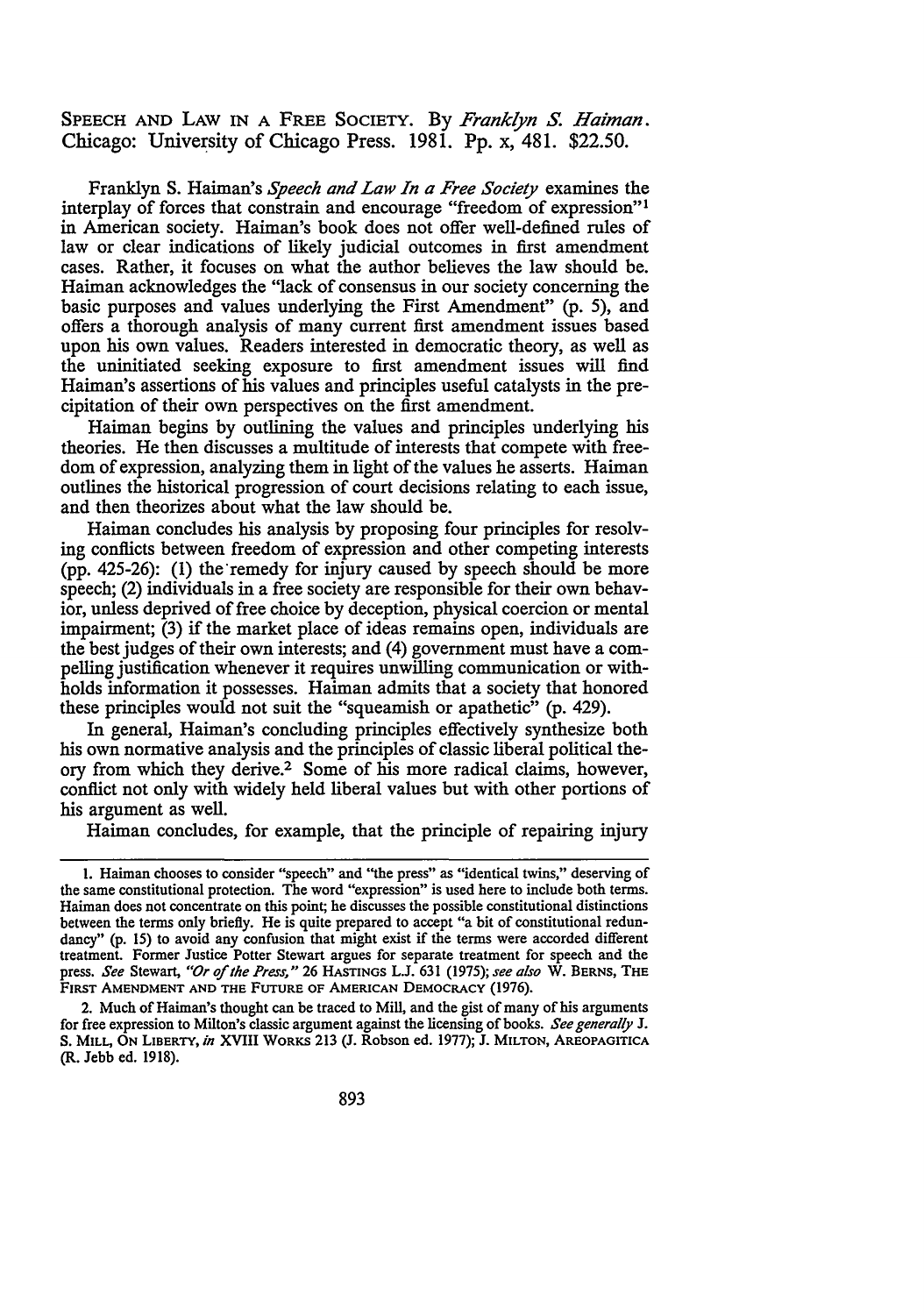SPEECH AND LAW IN A FREE SOCIETY. By *Franklyn s. Haiman.*  Chicago: University of Chicago Press. 1981. Pp. x, 481. \$22.50.

Franklyn S. Haiman's *Speech and Law In a Free Society* examines the interplay of forces that constrain and encourage "freedom of expression"<sup>1</sup> in American society. Haiman's book does not offer well-defined rules of law or clear indications of likely judicial outcomes in first amendment cases. Rather, it focuses on what the author believes the law should be. Haiman acknowledges the "lack of consensus in our society concerning the basic purposes and values underlying the First Amendment" (p. 5), and offers a thorough analysis of many current first amendment issues based upon his own values. Readers interested in democratic theory, as well as the uninitiated seeking exposure to first amendment issues will find Haiman's assertions of his values and principles useful catalysts in the precipitation of their own perspectives on the first amendment.

Haiman begins by outlining the values and principles underlying his theories. He then discusses a multitude of interests that compete with freedom of expression, analyzing them in light of the values he asserts. Haiman outlines the historical progression of court decisions relating to each issue, and then theorizes about what the law should be.

Haiman concludes his analysis by proposing four principles for resolving conflicts between freedom of expression and other competing interests (pp. 425-26): (1) the·remedy for injury caused by speech should be more speech; (2) individuals in a free society are responsible for their own behavior, unless deprived of free choice by deception, physical coercion or mental impairment; (3) if the market place of ideas remains open, individuals are the best judges of their own interests; and (4) government must have a compelling justification whenever it requires unwilling communication or withholds information it possesses. Haiman admits that a society that honored these principles would not suit the "squeamish or apathetic" (p. 429).

In general, Haiman's concluding principles effectively synthesize both his own normative analysis and the principles of classic liberal political theory from which they derive.<sup>2</sup> Some of his more radical claims, however, conflict not only with widely held liberal values but with other portions of his argument as well.

Haiman concludes, for example, that the principle of repairing injury

2. Much of Haiman's thought can be traced to Mill, and the gist of many of his arguments for free expression to Milton's classic argument against the licensing of books. *See generally* J. s. MILL, ON LIBERTY, *in* XVIII WORKS 213 (J. Robson ed. 1977); J. MILTON, AREOPAGlTlCA (R. Jebb ed. 1918).

I. Haiman chooses to consider "speech" and "the press" as "identical twins,'' deserving of the same constitutional protection. The word "expression" is used here to include both terms. Haiman does not concentrate on this point; he discusses the possible constitutional distinctions between the terms only briefly. He is quite prepared to accept "a bit of constitutional redundancy" (p. 15) to avoid any confusion that might exist if the terms were accorded different treatment. Former Justice Potter Stewart argues for separate treatment for speech and the press. *See* Stewart, *"Or of the Press,"* 26 HASTINGS L.J. 631 (1975); *see also* w. BERNS, THE FIRST AMENDMENT AND THE FUTURE OF AMERICAN DEMOCRACY (1976).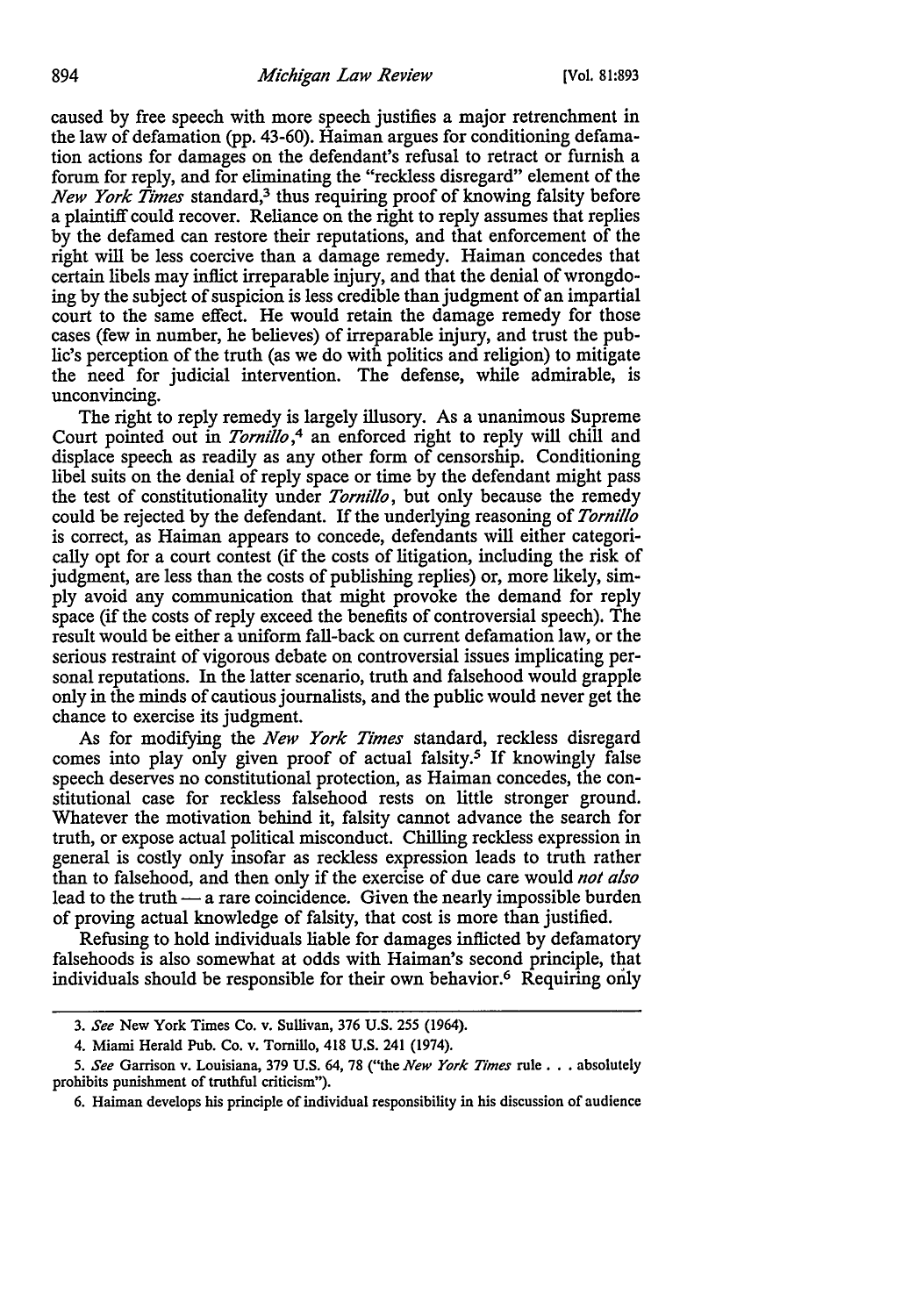caused by free speech with more speech justifies a major retrenchment in the law of defamation (pp. 43-60). Haiman argues for conditioning defamation actions for damages on the defendant's refusal to retract or furnish a forum for reply, and for eliminating the "reckless disregard" element of the *New York Times* standard,3 thus requiring proof of knowing falsity before a plaintiff could recover. Reliance on the right to reply assumes that replies by the defamed can restore their reputations, and that enforcement of the right will be less coercive than a damage remedy. Haiman concedes that certain libels may inflict irreparable injury, and that the denial of wrongdoing by the subject of suspicion is less credible than judgment of an impartial court to the same effect. He would retain the damage remedy for those cases (few in number, he believes) of irreparable injury, and trust the public's perception of the truth (as we do with politics and religion) to mitigate the need for judicial intervention. The defense, while admirable, is unconvincing.

The right to reply remedy is largely illusory. As a unanimous Supreme Court pointed out in *Tomillo,*4 an enforced right to reply will chill and displace speech as readily as any other form of censorship. Conditioning libel suits on the denial of reply space or time by the defendant might pass the test of constitutionality under *Tomi/lo,* but only because the remedy could be rejected by the defendant. If the underlying reasoning of *Tomi/lo*  is correct, as Haiman appears to concede, defendants will either categorically opt for a court contest (if the costs of litigation, including the risk of judgment, are less than the costs of publishing replies) or, more likely, simply avoid any communication that might provoke the demand for reply space (if the costs of reply exceed the benefits of controversial speech). The result would be either a uniform fall-back on current defamation law, or the serious restraint of vigorous debate on controversial issues implicating personal reputations. In the latter scenario, truth and falsehood would grapple only in the minds of cautious journalists, and the public would never get the chance to exercise its judgment.

As for modifying the *New York Times* standard, reckless disregard comes into play only given proof of actual falsity.<sup>5</sup> If knowingly false speech deserves no constitutional protection, as Haiman concedes, the constitutional case for reckless falsehood rests on little stronger ground. Whatever the motivation behind it, falsity cannot advance the search for truth, or expose actual political misconduct. Chilling reckless expression in general is costly only insofar as reckless expression leads to truth rather than to falsehood, and then only if the exercise of due care would *not also*  lead to the truth  $-$  a rare coincidence. Given the nearly impossible burden of proving actual knowledge of falsity, that cost is more than justified.

Refusing to hold individuals liable for damages inflicted by defamatory falsehoods is also somewhat at odds with Haiman's second principle, that individuals should be responsible for their own behavior.<sup>6</sup> Requiring only

<sup>3.</sup> *See* New York Times Co. v. Sullivan, 376 U.S. 255 (1964).

<sup>4.</sup> Miami Herald Pub. Co. v. Tomillo, 418 U.S. 241 (1974).

<sup>5.</sup> *See* Garrison v. Louisiana, 379 U.S. 64, 78 ("the *New York Times* rule . . . absolutely prohibits punishment of truthful criticism").

<sup>6.</sup> Haiman develops his principle of individual responsibility in his discussion of audience